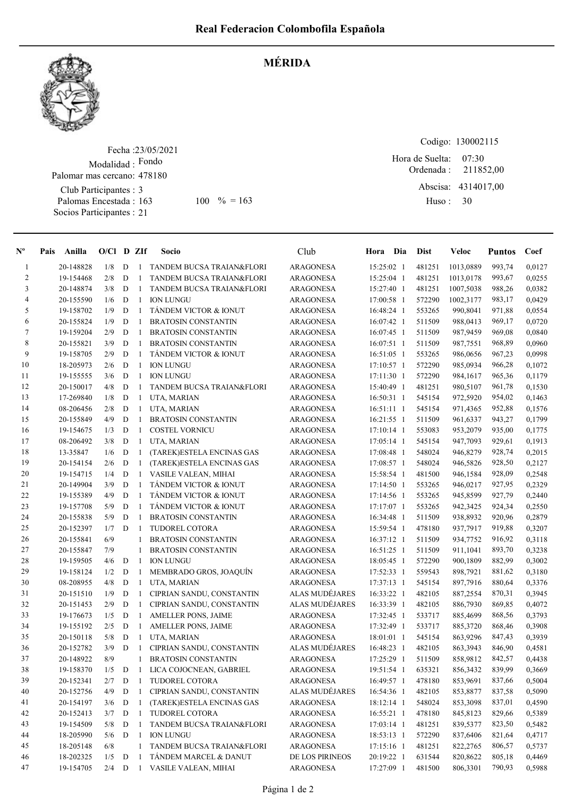

## MÉRIDA

Fecha : 23/05/2021 Modalidad : Fondo Club Participantes : 3 Palomas Encestada : 163 Socios Participantes : 21 Palomar mas cercano: 478180 163 100 % = 163 Huso: 30

Codigo: 130002115 Ordenada : Abscisa: 4314017,00 Huso : 07:30 Hora de Suelta: 211852,00

| $\mathbf{N}^{\mathbf{o}}$ | Pais<br>Anilla | $O/Cl$ D ZIf |             |                | <b>Socio</b>                | Club                  | Hora Dia     | <b>Dist</b> | Veloc     | <b>Puntos</b> | Coef   |
|---------------------------|----------------|--------------|-------------|----------------|-----------------------------|-----------------------|--------------|-------------|-----------|---------------|--------|
| $\mathbf{1}$              | 20-148828      | 1/8          | D           |                | 1 TANDEM BUCSA TRAIAN&FLORI | <b>ARAGONESA</b>      | 15:25:02 1   | 481251      | 1013,0889 | 993,74        | 0,0127 |
| 2                         | 19-154468      | 2/8          | D           | $\mathbf{1}$   | TANDEM BUCSA TRAIAN&FLORI   | <b>ARAGONESA</b>      | 15:25:04 1   | 481251      | 1013,0178 | 993,67        | 0,0255 |
| 3                         | 20-148874      | 3/8          | D           | $\mathbf{1}$   | TANDEM BUCSA TRAIAN&FLORI   | ARAGONESA             | 15:27:40 1   | 481251      | 1007,5038 | 988,26        | 0,0382 |
| 4                         | 20-155590      | 1/6          | $\mathbf D$ | $\mathbf{1}$   | <b>ION LUNGU</b>            | ARAGONESA             | 17:00:58 1   | 572290      | 1002,3177 | 983,17        | 0,0429 |
| 5                         | 19-158702      | 1/9          | $\mathbf D$ | $\mathbf{1}$   | TÁNDEM VICTOR & IONUT       | <b>ARAGONESA</b>      | 16:48:24 1   | 553265      | 990,8041  | 971,88        | 0,0554 |
| 6                         | 20-155824      | 1/9          | $\mathbf D$ | $\mathbf{1}$   | <b>BRATOSIN CONSTANTIN</b>  | <b>ARAGONESA</b>      | 16:07:42 1   | 511509      | 988,0413  | 969,17        | 0,0720 |
| 7                         | 19-159204      | 2/9          | D           | $\mathbf{1}$   | <b>BRATOSIN CONSTANTIN</b>  | <b>ARAGONESA</b>      | 16:07:45 1   | 511509      | 987,9459  | 969,08        | 0,0840 |
| 8                         | 20-155821      | 3/9          | D           | $\mathbf{1}$   | <b>BRATOSIN CONSTANTIN</b>  | <b>ARAGONESA</b>      | $16:07:51$ 1 | 511509      | 987,7551  | 968,89        | 0,0960 |
| 9                         | 19-158705      | 2/9          | D           | $\mathbf{1}$   | TÁNDEM VICTOR & IONUT       | <b>ARAGONESA</b>      | 16:51:05 1   | 553265      | 986,0656  | 967,23        | 0.0998 |
| 10                        | 18-205973      | 2/6          | $\mathbf D$ | $\mathbf{1}$   | <b>ION LUNGU</b>            | <b>ARAGONESA</b>      | 17:10:57 1   | 572290      | 985,0934  | 966,28        | 0,1072 |
| 11                        | 19-155555      | 3/6          | $\mathbf D$ | $\mathbf{1}$   | <b>ION LUNGU</b>            | <b>ARAGONESA</b>      | 17:11:30 1   | 572290      | 984,1617  | 965,36        | 0,1179 |
| 12                        | 20-150017      | 4/8          | D           | 1              | TANDEM BUCSA TRAIAN&FLORI   | <b>ARAGONESA</b>      | 15:40:49 1   | 481251      | 980,5107  | 961,78        | 0,1530 |
| 13                        | 17-269840      | 1/8          | D           | $\mathbf{1}$   | UTA, MARIAN                 | <b>ARAGONESA</b>      | 16:50:31 1   | 545154      | 972,5920  | 954,02        | 0,1463 |
| 14                        | 08-206456      | 2/8          | D           | $\mathbf{1}$   | UTA, MARIAN                 | <b>ARAGONESA</b>      | $16:51:11$ 1 | 545154      | 971,4365  | 952,88        | 0,1576 |
| 15                        | 20-155849      | 4/9          | D           | $\mathbf{1}$   | <b>BRATOSIN CONSTANTIN</b>  | ARAGONESA             | 16:21:55 1   | 511509      | 961,6337  | 943,27        | 0,1799 |
| 16                        | 19-154675      | 1/3          | $\mathbf D$ | $\mathbf{1}$   | <b>COSTEL VORNICU</b>       | <b>ARAGONESA</b>      | 17:10:14 1   | 553083      | 953,2079  | 935,00        | 0,1775 |
| 17                        | 08-206492      | 3/8          | D           | 1              | UTA, MARIAN                 | <b>ARAGONESA</b>      | 17:05:14 1   | 545154      | 947,7093  | 929,61        | 0,1913 |
| 18                        | 13-35847       | 1/6          | D           | 1              | (TAREK)ESTELA ENCINAS GAS   | <b>ARAGONESA</b>      | 17:08:48 1   | 548024      | 946,8279  | 928,74        | 0,2015 |
| 19                        | 20-154154      | 2/6          | D           | $\mathbf{1}$   | (TAREK)ESTELA ENCINAS GAS   | <b>ARAGONESA</b>      | 17:08:57 1   | 548024      | 946,5826  | 928,50        | 0,2127 |
| 20                        | 19-154715      | 1/4          | D           | $\mathbf{1}$   | VASILE VALEAN, MIHAI        | <b>ARAGONESA</b>      | 15:58:54 1   | 481500      | 946,1584  | 928,09        | 0,2548 |
| 21                        | 20-149904      | 3/9          | $\mathbf D$ | $\mathbf{1}$   | TANDEM VICTOR & IONUT       | ARAGONESA             | 17:14:50 1   | 553265      | 946,0217  | 927,95        | 0,2329 |
| 22                        | 19-155389      | 4/9          | $\mathbf D$ | $\mathbf{1}$   | TÁNDEM VICTOR & IONUT       | ARAGONESA             | 17:14:56 1   | 553265      | 945,8599  | 927,79        | 0,2440 |
| 23                        | 19-157708      | 5/9          | $\mathbf D$ | 1              | TÁNDEM VICTOR & IONUT       | <b>ARAGONESA</b>      | 17:17:07 1   | 553265      | 942,3425  | 924,34        | 0,2550 |
| 24                        | 20-155838      | 5/9          | D           | $\mathbf{1}$   | <b>BRATOSIN CONSTANTIN</b>  | <b>ARAGONESA</b>      | 16:34:48 1   | 511509      | 938,8932  | 920,96        | 0,2879 |
| 25                        | 20-152397      | 1/7          | D           | $\overline{1}$ | TUDOREL COTORA              | <b>ARAGONESA</b>      | 15:59:54 1   | 478180      | 937,7917  | 919,88        | 0,3207 |
| 26                        | 20-155841      | 6/9          |             | $\mathbf{1}$   | <b>BRATOSIN CONSTANTIN</b>  | <b>ARAGONESA</b>      | 16:37:12 1   | 511509      | 934,7752  | 916,92        | 0,3118 |
| 27                        | 20-155847      | 7/9          |             | $\mathbf{1}$   | <b>BRATOSIN CONSTANTIN</b>  | ARAGONESA             | 16:51:25 1   | 511509      | 911,1041  | 893,70        | 0,3238 |
| 28                        | 19-159505      | 4/6          | D           | 1              | <b>ION LUNGU</b>            | <b>ARAGONESA</b>      | 18:05:45 1   | 572290      | 900,1809  | 882,99        | 0,3002 |
| 29                        | 19-158124      | 1/2          | D           | 1              | MEMBRADO GROS, JOAQUÍN      | <b>ARAGONESA</b>      | 17:52:33 1   | 559543      | 898,7921  | 881,62        | 0,3180 |
| 30                        | 08-208955      | 4/8          | D           | $\mathbf{1}$   | UTA, MARIAN                 | <b>ARAGONESA</b>      | 17:37:13 1   | 545154      | 897,7916  | 880,64        | 0,3376 |
| 31                        | 20-151510      | 1/9          | D           | $\mathbf{1}$   | CIPRIAN SANDU, CONSTANTIN   | <b>ALAS MUDÉJARES</b> | 16:33:22 1   | 482105      | 887,2554  | 870,31        | 0,3945 |
| 32                        | 20-151453      | 2/9          | D           | $\mathbf{1}$   | CIPRIAN SANDU, CONSTANTIN   | <b>ALAS MUDÉJARES</b> | 16:33:39 1   | 482105      | 886,7930  | 869,85        | 0,4072 |
| 33                        | 19-176673      | 1/5          | D           | $\mathbf{1}$   | <b>AMELLER PONS, JAIME</b>  | <b>ARAGONESA</b>      | 17:32:45 1   | 533717      | 885,4699  | 868,56        | 0,3793 |
| 34                        | 19-155192      | 2/5          | $\mathbf D$ | -1             | AMELLER PONS, JAIME         | <b>ARAGONESA</b>      | 17:32:49 1   | 533717      | 885,3720  | 868,46        | 0,3908 |
| 35                        | 20-150118      | 5/8          | D           | $\mathbf{1}$   | UTA, MARIAN                 | <b>ARAGONESA</b>      | 18:01:01 1   | 545154      | 863,9296  | 847,43        | 0,3939 |
| 36                        | 20-152782      | 3/9          | D           | $\mathbf{1}$   | CIPRIAN SANDU, CONSTANTIN   | <b>ALAS MUDÉJARES</b> | 16:48:23 1   | 482105      | 863,3943  | 846,90        | 0,4581 |
| 37                        | 20-148922      | 8/9          |             | 1              | <b>BRATOSIN CONSTANTIN</b>  | <b>ARAGONESA</b>      | 17:25:29 1   | 511509      | 858,9812  | 842,57        | 0.4438 |
| 38                        | 19-158370      | $1/5$ D      |             |                | 1 LICA COJOCNEAN, GABRIEL   | ARAGONESA             | 19:51:54 1   | 635321      | 856,3432  | 839,99        | 0,3669 |
| 39                        | 20-152341      | 2/7          | D           | 1              | TUDOREL COTORA              | ARAGONESA             | 16:49:57 1   | 478180      | 853,9691  | 837,66        | 0,5004 |
| 40                        | 20-152756      | 4/9          | $\mathbf D$ | 1              | CIPRIAN SANDU, CONSTANTIN   | ALAS MUDÉJARES        | 16:54:36 1   | 482105      | 853,8877  | 837,58        | 0,5090 |
| 41                        | 20-154197      | 3/6          | D           | $\mathbf{1}$   | (TAREK)ESTELA ENCINAS GAS   | ARAGONESA             | 18:12:14 1   | 548024      | 853,3098  | 837,01        | 0,4590 |
| 42                        | 20-152413      | 3/7          | D           | 1              | TUDOREL COTORA              | ARAGONESA             | 16:55:21 1   | 478180      | 845,8123  | 829,66        | 0,5389 |
| 43                        | 19-154509      | 5/8          | D           | 1              | TANDEM BUCSA TRAIAN&FLORI   | ARAGONESA             | 17:03:14 1   | 481251      | 839,5377  | 823,50        | 0,5482 |
| 44                        | 18-205990      | 5/6          | D           | -1             | <b>ION LUNGU</b>            | ARAGONESA             | 18:53:13 1   | 572290      | 837,6406  | 821,64        | 0,4717 |
| 45                        | 18-205148      | 6/8          |             | 1              | TANDEM BUCSA TRAIAN&FLORI   | ARAGONESA             | 17:15:16 1   | 481251      | 822,2765  | 806,57        | 0,5737 |
| 46                        | 18-202325      | 1/5          | D           | -1             | TÁNDEM MARCEL & DANUT       | DE LOS PIRINEOS       | 20:19:22 1   | 631544      | 820,8622  | 805,18        | 0,4469 |
| 47                        | 19-154705      | 2/4          | D           | $\mathbf{1}$   | VASILE VALEAN, MIHAI        | ARAGONESA             | 17:27:09 1   | 481500      | 806,3301  | 790,93        | 0,5988 |
|                           |                |              |             |                |                             |                       |              |             |           |               |        |